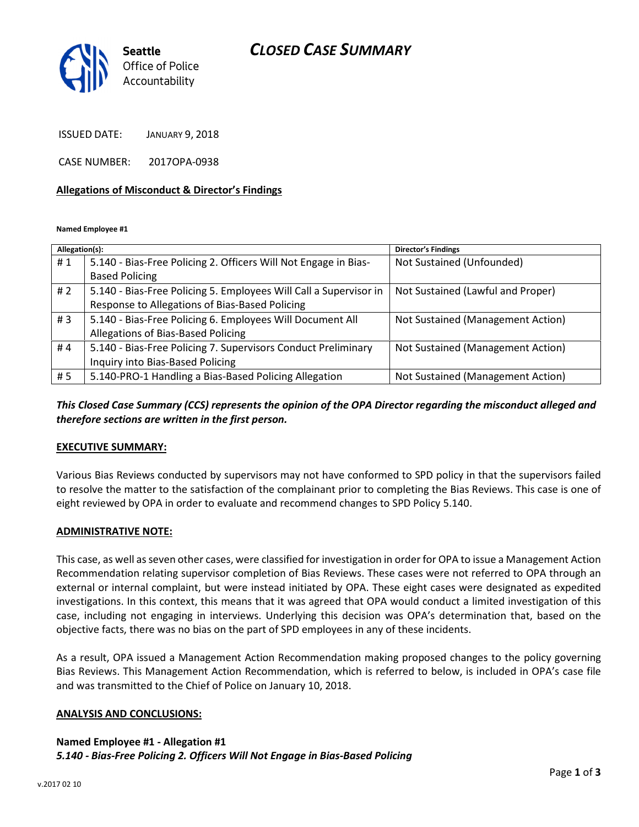# CLOSED CASE SUMMARY



ISSUED DATE: JANUARY 9, 2018

CASE NUMBER: 2017OPA-0938

#### Allegations of Misconduct & Director's Findings

Named Employee #1

| Allegation(s): |                                                                   | <b>Director's Findings</b>        |
|----------------|-------------------------------------------------------------------|-----------------------------------|
| #1             | 5.140 - Bias-Free Policing 2. Officers Will Not Engage in Bias-   | Not Sustained (Unfounded)         |
|                | <b>Based Policing</b>                                             |                                   |
| #2             | 5.140 - Bias-Free Policing 5. Employees Will Call a Supervisor in | Not Sustained (Lawful and Proper) |
|                | Response to Allegations of Bias-Based Policing                    |                                   |
| #3             | 5.140 - Bias-Free Policing 6. Employees Will Document All         | Not Sustained (Management Action) |
|                | Allegations of Bias-Based Policing                                |                                   |
| #4             | 5.140 - Bias-Free Policing 7. Supervisors Conduct Preliminary     | Not Sustained (Management Action) |
|                | Inquiry into Bias-Based Policing                                  |                                   |
| #5             | 5.140-PRO-1 Handling a Bias-Based Policing Allegation             | Not Sustained (Management Action) |

## This Closed Case Summary (CCS) represents the opinion of the OPA Director regarding the misconduct alleged and therefore sections are written in the first person.

#### EXECUTIVE SUMMARY:

Various Bias Reviews conducted by supervisors may not have conformed to SPD policy in that the supervisors failed to resolve the matter to the satisfaction of the complainant prior to completing the Bias Reviews. This case is one of eight reviewed by OPA in order to evaluate and recommend changes to SPD Policy 5.140.

### ADMINISTRATIVE NOTE:

This case, as well as seven other cases, were classified for investigation in order for OPA to issue a Management Action Recommendation relating supervisor completion of Bias Reviews. These cases were not referred to OPA through an external or internal complaint, but were instead initiated by OPA. These eight cases were designated as expedited investigations. In this context, this means that it was agreed that OPA would conduct a limited investigation of this case, including not engaging in interviews. Underlying this decision was OPA's determination that, based on the objective facts, there was no bias on the part of SPD employees in any of these incidents.

As a result, OPA issued a Management Action Recommendation making proposed changes to the policy governing Bias Reviews. This Management Action Recommendation, which is referred to below, is included in OPA's case file and was transmitted to the Chief of Police on January 10, 2018.

#### ANALYSIS AND CONCLUSIONS:

## Named Employee #1 - Allegation #1 5.140 - Bias-Free Policing 2. Officers Will Not Engage in Bias-Based Policing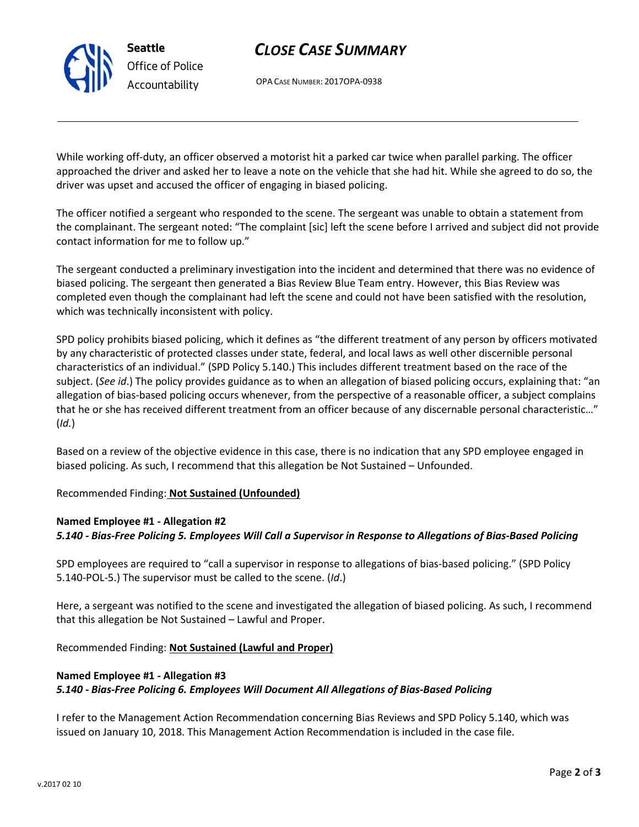## CLOSE CASE SUMMARY

OPA CASE NUMBER: 2017OPA-0938

While working off-duty, an officer observed a motorist hit a parked car twice when parallel parking. The officer approached the driver and asked her to leave a note on the vehicle that she had hit. While she agreed to do so, the driver was upset and accused the officer of engaging in biased policing.

The officer notified a sergeant who responded to the scene. The sergeant was unable to obtain a statement from the complainant. The sergeant noted: "The complaint [sic] left the scene before I arrived and subject did not provide contact information for me to follow up."

The sergeant conducted a preliminary investigation into the incident and determined that there was no evidence of biased policing. The sergeant then generated a Bias Review Blue Team entry. However, this Bias Review was completed even though the complainant had left the scene and could not have been satisfied with the resolution, which was technically inconsistent with policy.

SPD policy prohibits biased policing, which it defines as "the different treatment of any person by officers motivated by any characteristic of protected classes under state, federal, and local laws as well other discernible personal characteristics of an individual." (SPD Policy 5.140.) This includes different treatment based on the race of the subject. (See id.) The policy provides guidance as to when an allegation of biased policing occurs, explaining that: "an allegation of bias-based policing occurs whenever, from the perspective of a reasonable officer, a subject complains that he or she has received different treatment from an officer because of any discernable personal characteristic…"  $(Id.)$ 

Based on a review of the objective evidence in this case, there is no indication that any SPD employee engaged in biased policing. As such, I recommend that this allegation be Not Sustained – Unfounded.

Recommended Finding: Not Sustained (Unfounded)

## Named Employee #1 - Allegation #2

## 5.140 - Bias-Free Policing 5. Employees Will Call a Supervisor in Response to Allegations of Bias-Based Policing

SPD employees are required to "call a supervisor in response to allegations of bias-based policing." (SPD Policy 5.140-POL-5.) The supervisor must be called to the scene. (Id.)

Here, a sergeant was notified to the scene and investigated the allegation of biased policing. As such, I recommend that this allegation be Not Sustained – Lawful and Proper.

Recommended Finding: Not Sustained (Lawful and Proper)

### Named Employee #1 - Allegation #3

### 5.140 - Bias-Free Policing 6. Employees Will Document All Allegations of Bias-Based Policing

I refer to the Management Action Recommendation concerning Bias Reviews and SPD Policy 5.140, which was issued on January 10, 2018. This Management Action Recommendation is included in the case file.



Seattle Office of Police Accountability